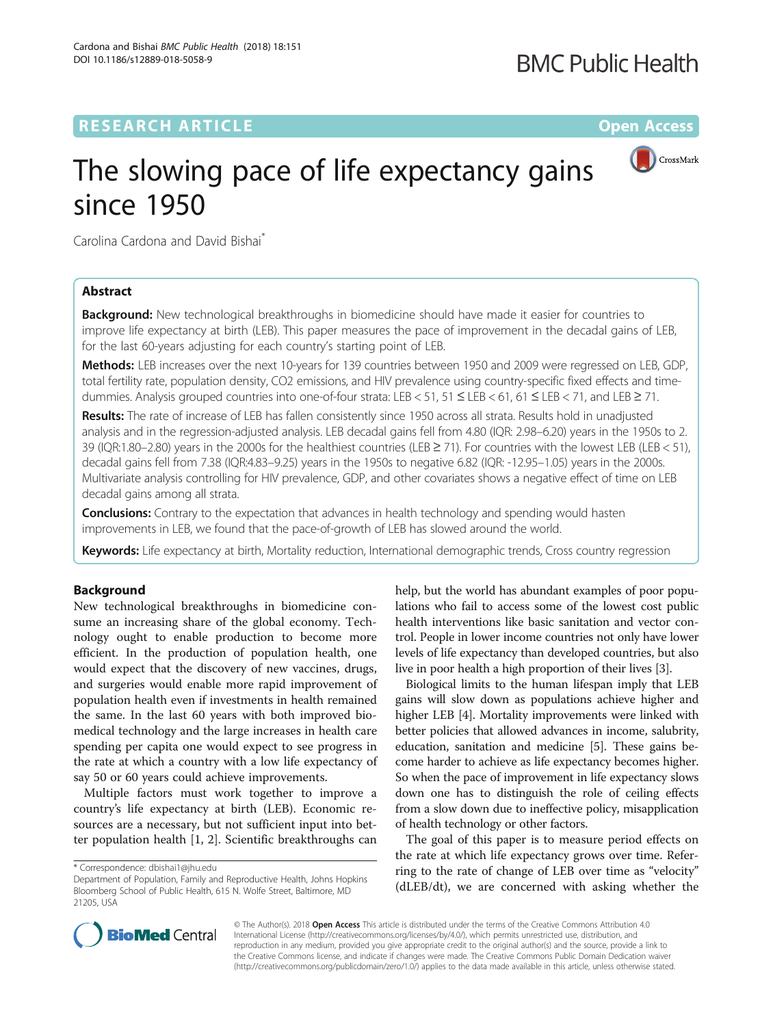# **RESEARCH ARTICLE Example 2014 12:30 The Contract of Contract ACCESS**



# The slowing pace of life expectancy gains since 1950

Carolina Cardona and David Bishai\*

# Abstract

**Background:** New technological breakthroughs in biomedicine should have made it easier for countries to improve life expectancy at birth (LEB). This paper measures the pace of improvement in the decadal gains of LEB, for the last 60-years adjusting for each country's starting point of LEB.

Methods: LEB increases over the next 10-years for 139 countries between 1950 and 2009 were regressed on LEB, GDP, total fertility rate, population density, CO2 emissions, and HIV prevalence using country-specific fixed effects and timedummies. Analysis grouped countries into one-of-four strata: LEB < 51, 51 ≤ LEB < 61, 61 ≤ LEB < 71, and LEB ≥ 71.

Results: The rate of increase of LEB has fallen consistently since 1950 across all strata. Results hold in unadjusted analysis and in the regression-adjusted analysis. LEB decadal gains fell from 4.80 (IQR: 2.98–6.20) years in the 1950s to 2. 39 (IQR:1.80–2.80) years in the 2000s for the healthiest countries (LEB ≥ 71). For countries with the lowest LEB (LEB < 51), decadal gains fell from 7.38 (IQR:4.83–9.25) years in the 1950s to negative 6.82 (IQR: -12.95–1.05) years in the 2000s. Multivariate analysis controlling for HIV prevalence, GDP, and other covariates shows a negative effect of time on LEB decadal gains among all strata.

**Conclusions:** Contrary to the expectation that advances in health technology and spending would hasten improvements in LEB, we found that the pace-of-growth of LEB has slowed around the world.

Keywords: Life expectancy at birth, Mortality reduction, International demographic trends, Cross country regression

# Background

New technological breakthroughs in biomedicine consume an increasing share of the global economy. Technology ought to enable production to become more efficient. In the production of population health, one would expect that the discovery of new vaccines, drugs, and surgeries would enable more rapid improvement of population health even if investments in health remained the same. In the last 60 years with both improved biomedical technology and the large increases in health care spending per capita one would expect to see progress in the rate at which a country with a low life expectancy of say 50 or 60 years could achieve improvements.

Multiple factors must work together to improve a country's life expectancy at birth (LEB). Economic resources are a necessary, but not sufficient input into better population health [[1, 2](#page-6-0)]. Scientific breakthroughs can help, but the world has abundant examples of poor populations who fail to access some of the lowest cost public health interventions like basic sanitation and vector control. People in lower income countries not only have lower levels of life expectancy than developed countries, but also live in poor health a high proportion of their lives [\[3](#page-6-0)].

Biological limits to the human lifespan imply that LEB gains will slow down as populations achieve higher and higher LEB [\[4](#page-6-0)]. Mortality improvements were linked with better policies that allowed advances in income, salubrity, education, sanitation and medicine [[5](#page-6-0)]. These gains become harder to achieve as life expectancy becomes higher. So when the pace of improvement in life expectancy slows down one has to distinguish the role of ceiling effects from a slow down due to ineffective policy, misapplication of health technology or other factors.

The goal of this paper is to measure period effects on the rate at which life expectancy grows over time. Referring to the rate of change of LEB over time as "velocity" (dLEB/dt), we are concerned with asking whether the



© The Author(s). 2018 Open Access This article is distributed under the terms of the Creative Commons Attribution 4.0 International License [\(http://creativecommons.org/licenses/by/4.0/](http://creativecommons.org/licenses/by/4.0/)), which permits unrestricted use, distribution, and reproduction in any medium, provided you give appropriate credit to the original author(s) and the source, provide a link to the Creative Commons license, and indicate if changes were made. The Creative Commons Public Domain Dedication waiver [\(http://creativecommons.org/publicdomain/zero/1.0/](http://creativecommons.org/publicdomain/zero/1.0/)) applies to the data made available in this article, unless otherwise stated.

<sup>\*</sup> Correspondence: [dbishai1@jhu.edu](mailto:dbishai1@jhu.edu)

Department of Population, Family and Reproductive Health, Johns Hopkins Bloomberg School of Public Health, 615 N. Wolfe Street, Baltimore, MD 21205, USA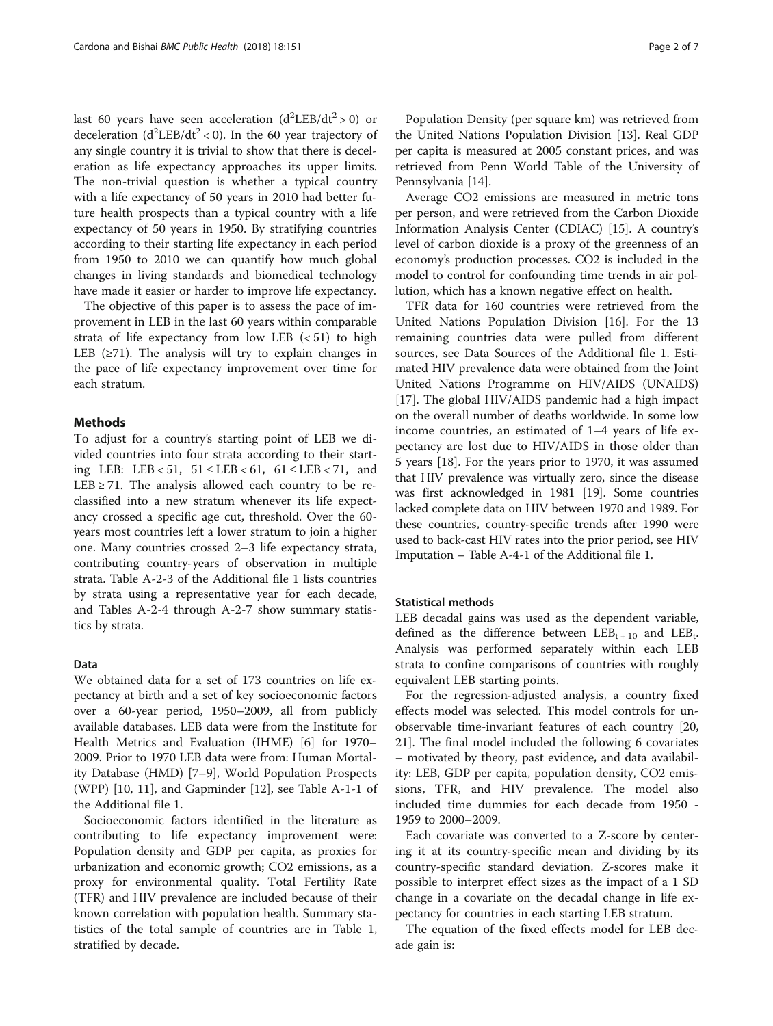last 60 years have seen acceleration  $(d^2LEB/dt^2 > 0)$  or deceleration ( $d^2$ LEB/dt<sup>2</sup> < 0). In the 60 year trajectory of any single country it is trivial to show that there is deceleration as life expectancy approaches its upper limits. The non-trivial question is whether a typical country with a life expectancy of 50 years in 2010 had better future health prospects than a typical country with a life expectancy of 50 years in 1950. By stratifying countries according to their starting life expectancy in each period from 1950 to 2010 we can quantify how much global changes in living standards and biomedical technology have made it easier or harder to improve life expectancy.

The objective of this paper is to assess the pace of improvement in LEB in the last 60 years within comparable strata of life expectancy from low LEB  $( $51$ )$  to high LEB  $(≥71)$ . The analysis will try to explain changes in the pace of life expectancy improvement over time for each stratum.

### Methods

To adjust for a country's starting point of LEB we divided countries into four strata according to their starting LEB: LEB < 51,  $51 \leq$  LEB < 61,  $61 \leq$  LEB < 71, and LEB  $\geq$  71. The analysis allowed each country to be reclassified into a new stratum whenever its life expectancy crossed a specific age cut, threshold. Over the 60 years most countries left a lower stratum to join a higher one. Many countries crossed 2–3 life expectancy strata, contributing country-years of observation in multiple strata. Table A-2-3 of the Additional file [1](#page-5-0) lists countries by strata using a representative year for each decade, and Tables A-2-4 through A-2-7 show summary statistics by strata.

## Data

We obtained data for a set of 173 countries on life expectancy at birth and a set of key socioeconomic factors over a 60-year period, 1950–2009, all from publicly available databases. LEB data were from the Institute for Health Metrics and Evaluation (IHME) [[6](#page-6-0)] for 1970– 2009. Prior to 1970 LEB data were from: Human Mortality Database (HMD) [\[7](#page-6-0)–[9\]](#page-6-0), World Population Prospects (WPP) [[10](#page-6-0), [11\]](#page-6-0), and Gapminder [[12\]](#page-6-0), see Table A-1-1 of the Additional file [1.](#page-5-0)

Socioeconomic factors identified in the literature as contributing to life expectancy improvement were: Population density and GDP per capita, as proxies for urbanization and economic growth; CO2 emissions, as a proxy for environmental quality. Total Fertility Rate (TFR) and HIV prevalence are included because of their known correlation with population health. Summary statistics of the total sample of countries are in Table [1](#page-2-0), stratified by decade.

Population Density (per square km) was retrieved from the United Nations Population Division [\[13](#page-6-0)]. Real GDP per capita is measured at 2005 constant prices, and was retrieved from Penn World Table of the University of Pennsylvania [[14](#page-6-0)].

Average CO2 emissions are measured in metric tons per person, and were retrieved from the Carbon Dioxide Information Analysis Center (CDIAC) [[15\]](#page-6-0). A country's level of carbon dioxide is a proxy of the greenness of an economy's production processes. CO2 is included in the model to control for confounding time trends in air pollution, which has a known negative effect on health.

TFR data for 160 countries were retrieved from the United Nations Population Division [\[16](#page-6-0)]. For the 13 remaining countries data were pulled from different sources, see Data Sources of the Additional file [1.](#page-5-0) Estimated HIV prevalence data were obtained from the Joint United Nations Programme on HIV/AIDS (UNAIDS) [[17\]](#page-6-0). The global HIV/AIDS pandemic had a high impact on the overall number of deaths worldwide. In some low income countries, an estimated of 1–4 years of life expectancy are lost due to HIV/AIDS in those older than 5 years [\[18\]](#page-6-0). For the years prior to 1970, it was assumed that HIV prevalence was virtually zero, since the disease was first acknowledged in 1981 [\[19\]](#page-6-0). Some countries lacked complete data on HIV between 1970 and 1989. For these countries, country-specific trends after 1990 were used to back-cast HIV rates into the prior period, see HIV Imputation – Table A-4-1 of the Additional file [1](#page-5-0).

# Statistical methods

LEB decadal gains was used as the dependent variable, defined as the difference between  $LEB_{t+10}$  and  $LEB_{t}$ . Analysis was performed separately within each LEB strata to confine comparisons of countries with roughly equivalent LEB starting points.

For the regression-adjusted analysis, a country fixed effects model was selected. This model controls for unobservable time-invariant features of each country [[20](#page-6-0), [21\]](#page-6-0). The final model included the following 6 covariates – motivated by theory, past evidence, and data availability: LEB, GDP per capita, population density, CO2 emissions, TFR, and HIV prevalence. The model also included time dummies for each decade from 1950 - 1959 to 2000–2009.

Each covariate was converted to a Z-score by centering it at its country-specific mean and dividing by its country-specific standard deviation. Z-scores make it possible to interpret effect sizes as the impact of a 1 SD change in a covariate on the decadal change in life expectancy for countries in each starting LEB stratum.

The equation of the fixed effects model for LEB decade gain is: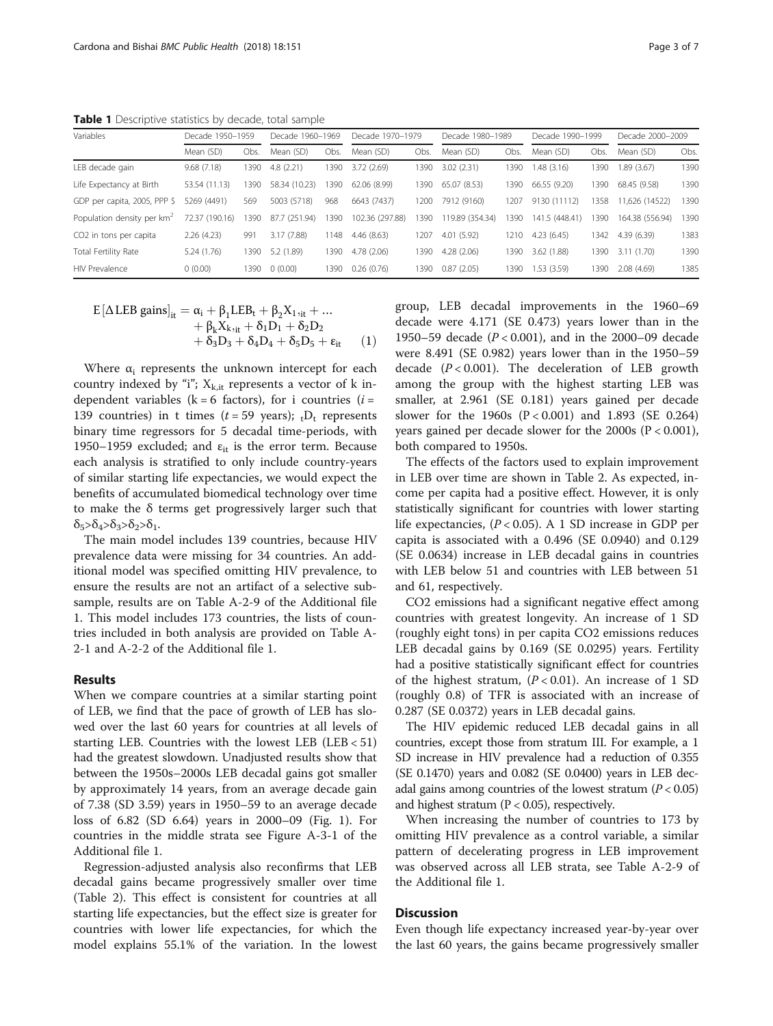<span id="page-2-0"></span>Table 1 Descriptive statistics by decade, total sample

| Variables                              | Decade 1950-1959 |      | Decade 1960-1969 |      | Decade 1970-1979 |      | Decade 1980-1989 |      | Decade 1990-1999 |      | Decade 2000-2009 |      |
|----------------------------------------|------------------|------|------------------|------|------------------|------|------------------|------|------------------|------|------------------|------|
|                                        | Mean (SD)        | Obs. | Mean (SD)        | Obs. | Mean (SD)        | Obs. | Mean (SD)        | Obs. | Mean (SD)        | Obs. | Mean (SD)        | Obs. |
| LEB decade gain                        | 9.68(7.18)       | 1390 | 4.8(2.21)        | 390  | 3.72 (2.69)      | 1390 | 3.02(2.31)       | 1390 | 1.48 (3.16)      | 1390 | 1.89 (3.67)      | 1390 |
| Life Expectancy at Birth               | 53.54 (11.13)    | 1390 | 58.34 (10.23)    | 390  | 62.06 (8.99)     | 1390 | 65.07 (8.53)     | 1390 | 66.55 (9.20)     | 1390 | 68.45 (9.58)     | 1390 |
| GDP per capita, 2005, PPP \$           | 5269 (4491)      | 569  | 5003 (5718)      | 968  | 6643 (7437)      | 1200 | 7912 (9160)      | 1207 | 9130 (11112)     | 1358 | 11.626 (14522)   | 1390 |
| Population density per km <sup>2</sup> | 72.37 (190.16)   | 1390 | 87.7 (251.94)    | 1390 | 102.36 (297.88)  | 1390 | 19.89 (354.34)   | 1390 | 141.5 (448.41)   | 1390 | 164.38 (556.94)  | 1390 |
| CO2 in tons per capita                 | 2.26(4.23)       | 991  | 3.17 (7.88)      | 148  | 4.46 (8.63)      | 1207 | 4.01(5.92)       | 1210 | 4.23(6.45)       | 1342 | 4.39(6.39)       | 1383 |
| Total Fertility Rate                   | 5.24 (1.76)      | 1390 | 5.2(1.89)        | 390  | 4.78 (2.06)      | 1390 | 4.28(2.06)       | 1390 | 3.62(1.88)       | 1390 | 3.11(1.70)       | 1390 |
| <b>HIV Prevalence</b>                  | 0(0.00)          | 1390 | 0(0.00)          | 390  | 0.26(0.76)       | 1390 | 0.87(2.05)       | 1390 | 1.53 (3.59)      | 1390 | 2.08(4.69)       | 1385 |

$$
E[\Delta LEB gains]_{it} = \alpha_i + \beta_1 LEB_t + \beta_2 X_{1\,it} + ... + \beta_k X_{k\,it} + \delta_1 D_1 + \delta_2 D_2 + \delta_3 D_3 + \delta_4 D_4 + \delta_5 D_5 + \varepsilon_{it}
$$
 (1)

Where  $\alpha_i$  represents the unknown intercept for each country indexed by "i";  $X_{k, it}$  represents a vector of k independent variables ( $k = 6$  factors), for i countries ( $i =$ 139 countries) in t times  $(t = 59 \text{ years})$ ;  $_1D_t$  represents binary time regressors for 5 decadal time-periods, with 1950–1959 excluded; and  $\varepsilon_{it}$  is the error term. Because each analysis is stratified to only include country-years of similar starting life expectancies, we would expect the benefits of accumulated biomedical technology over time to make the  $\delta$  terms get progressively larger such that  $\delta_5 > \delta_4 > \delta_3 > \delta_2 > \delta_1$ .

The main model includes 139 countries, because HIV prevalence data were missing for 34 countries. An additional model was specified omitting HIV prevalence, to ensure the results are not an artifact of a selective subsample, results are on Table A-2-9 of the Additional file [1.](#page-5-0) This model includes 173 countries, the lists of countries included in both analysis are provided on Table A-2-1 and A-2-2 of the Additional file [1.](#page-5-0)

### Results

When we compare countries at a similar starting point of LEB, we find that the pace of growth of LEB has slowed over the last 60 years for countries at all levels of starting LEB. Countries with the lowest LEB (LEB  $<$  51) had the greatest slowdown. Unadjusted results show that between the 1950s–2000s LEB decadal gains got smaller by approximately 14 years, from an average decade gain of 7.38 (SD 3.59) years in 1950–59 to an average decade loss of 6.82 (SD 6.64) years in 2000–09 (Fig. [1](#page-3-0)). For countries in the middle strata see Figure A-3-1 of the Additional file [1.](#page-5-0)

Regression-adjusted analysis also reconfirms that LEB decadal gains became progressively smaller over time (Table [2\)](#page-3-0). This effect is consistent for countries at all starting life expectancies, but the effect size is greater for countries with lower life expectancies, for which the model explains 55.1% of the variation. In the lowest

group, LEB decadal improvements in the 1960–69 decade were 4.171 (SE 0.473) years lower than in the 1950–59 decade ( $P < 0.001$ ), and in the 2000–09 decade were 8.491 (SE 0.982) years lower than in the 1950–59 decade  $(P < 0.001)$ . The deceleration of LEB growth among the group with the highest starting LEB was smaller, at 2.961 (SE 0.181) years gained per decade slower for the 1960s (P < 0.001) and 1.893 (SE 0.264) years gained per decade slower for the  $2000s$  ( $P < 0.001$ ), both compared to 1950s.

The effects of the factors used to explain improvement in LEB over time are shown in Table [2.](#page-3-0) As expected, income per capita had a positive effect. However, it is only statistically significant for countries with lower starting life expectancies,  $(P < 0.05)$ . A 1 SD increase in GDP per capita is associated with a 0.496 (SE 0.0940) and 0.129 (SE 0.0634) increase in LEB decadal gains in countries with LEB below 51 and countries with LEB between 51 and 61, respectively.

CO2 emissions had a significant negative effect among countries with greatest longevity. An increase of 1 SD (roughly eight tons) in per capita CO2 emissions reduces LEB decadal gains by 0.169 (SE 0.0295) years. Fertility had a positive statistically significant effect for countries of the highest stratum,  $(P < 0.01)$ . An increase of 1 SD (roughly 0.8) of TFR is associated with an increase of 0.287 (SE 0.0372) years in LEB decadal gains.

The HIV epidemic reduced LEB decadal gains in all countries, except those from stratum III. For example, a 1 SD increase in HIV prevalence had a reduction of 0.355 (SE 0.1470) years and 0.082 (SE 0.0400) years in LEB decadal gains among countries of the lowest stratum ( $P < 0.05$ ) and highest stratum ( $P < 0.05$ ), respectively.

When increasing the number of countries to 173 by omitting HIV prevalence as a control variable, a similar pattern of decelerating progress in LEB improvement was observed across all LEB strata, see Table A-2-9 of the Additional file [1.](#page-5-0)

# **Discussion**

Even though life expectancy increased year-by-year over the last 60 years, the gains became progressively smaller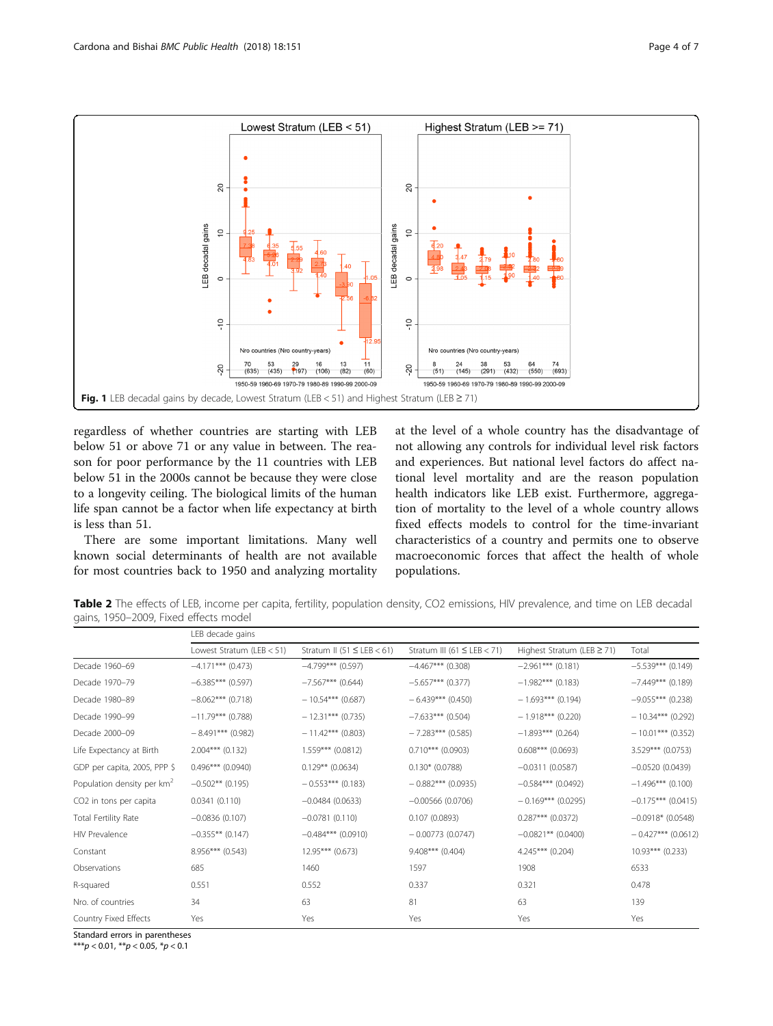<span id="page-3-0"></span>

regardless of whether countries are starting with LEB below 51 or above 71 or any value in between. The reason for poor performance by the 11 countries with LEB below 51 in the 2000s cannot be because they were close to a longevity ceiling. The biological limits of the human life span cannot be a factor when life expectancy at birth is less than 51.

There are some important limitations. Many well known social determinants of health are not available for most countries back to 1950 and analyzing mortality

at the level of a whole country has the disadvantage of not allowing any controls for individual level risk factors and experiences. But national level factors do affect national level mortality and are the reason population health indicators like LEB exist. Furthermore, aggregation of mortality to the level of a whole country allows fixed effects models to control for the time-invariant characteristics of a country and permits one to observe macroeconomic forces that affect the health of whole populations.

Table 2 The effects of LEB, income per capita, fertility, population density, CO2 emissions, HIV prevalence, and time on LEB decadal gains, 1950–2009, Fixed effects model

|                                        | LEB decade gains            |                                  |                                    |                                 |                      |  |  |  |  |
|----------------------------------------|-----------------------------|----------------------------------|------------------------------------|---------------------------------|----------------------|--|--|--|--|
|                                        | Lowest Stratum (LEB $<$ 51) | Stratum II (51 $\le$ LEB $<$ 61) | Stratum III (61 $\leq$ LEB $<$ 71) | Highest Stratum (LEB $\geq$ 71) | Total                |  |  |  |  |
| Decade 1960-69                         | $-4.171***$ (0.473)         | $-4.799***$ (0.597)              | $-4.467***$ (0.308)                | $-2.961***$ (0.181)             | $-5.539***$ (0.149)  |  |  |  |  |
| Decade 1970-79                         | $-6.385***$ (0.597)         | $-7.567***$ (0.644)              | $-5.657***$ (0.377)                | $-1.982***$ (0.183)             | $-7.449***$ (0.189)  |  |  |  |  |
| Decade 1980-89                         | $-8.062***$ (0.718)         | $-10.54***$ (0.687)              | $-6.439***$ (0.450)                | $-1.693***$ (0.194)             | $-9.055***$ (0.238)  |  |  |  |  |
| Decade 1990-99                         | $-11.79***$ (0.788)         | $-12.31***$ (0.735)              | $-7.633***$ (0.504)                | $-1.918***$ (0.220)             | $-10.34***$ (0.292)  |  |  |  |  |
| Decade 2000-09                         | $-8.491***$ (0.982)         | $-11.42***$ (0.803)              | $-7.283***$ (0.585)                | $-1.893***$ (0.264)             | $-10.01***$ (0.352)  |  |  |  |  |
| Life Expectancy at Birth               | $2.004***$ (0.132)          | $1.559***$ (0.0812)              | $0.710***$ (0.0903)                | $0.608***$ (0.0693)             | $3.529***$ (0.0753)  |  |  |  |  |
| GDP per capita, 2005, PPP \$           | $0.496***$ (0.0940)         | $0.129**$ (0.0634)               | $0.130*$ (0.0788)                  | $-0.0311(0.0587)$               | $-0.0520(0.0439)$    |  |  |  |  |
| Population density per km <sup>2</sup> | $-0.502**$ (0.195)          | $-0.553***$ (0.183)              | $-0.882***$ (0.0935)               | $-0.584***$ (0.0492)            | $-1.496***$ (0.100)  |  |  |  |  |
| CO2 in tons per capita                 | 0.0341(0.110)               | $-0.0484(0.0633)$                | $-0.00566$ (0.0706)                | $-0.169***$ (0.0295)            | $-0.175***$ (0.0415) |  |  |  |  |
| <b>Total Fertility Rate</b>            | $-0.0836(0.107)$            | $-0.0781(0.110)$                 | 0.107(0.0893)                      | $0.287***$ (0.0372)             | $-0.0918*$ (0.0548)  |  |  |  |  |
| <b>HIV Prevalence</b>                  | $-0.355***$ (0.147)         | $-0.484***$ (0.0910)             | $-0.00773(0.0747)$                 | $-0.0821**$ (0.0400)            | $-0.427***$ (0.0612) |  |  |  |  |
| Constant                               | $8.956***$ (0.543)          | $12.95***$ (0.673)               | $9.408***$ (0.404)                 | $4.245***$ (0.204)              | $10.93***$ (0.233)   |  |  |  |  |
| Observations                           | 685                         | 1460                             | 1597                               | 1908                            | 6533                 |  |  |  |  |
| R-squared                              | 0.551                       | 0.552                            | 0.337                              | 0.321                           | 0.478                |  |  |  |  |
| Nro. of countries                      | 34                          | 63                               | 81                                 | 63                              | 139                  |  |  |  |  |
| Country Fixed Effects                  | Yes                         | Yes                              | Yes                                | Yes                             | Yes                  |  |  |  |  |

Standard errors in parentheses

\*\*\* $p < 0.01$ , \*\* $p < 0.05$ , \* $p < 0.1$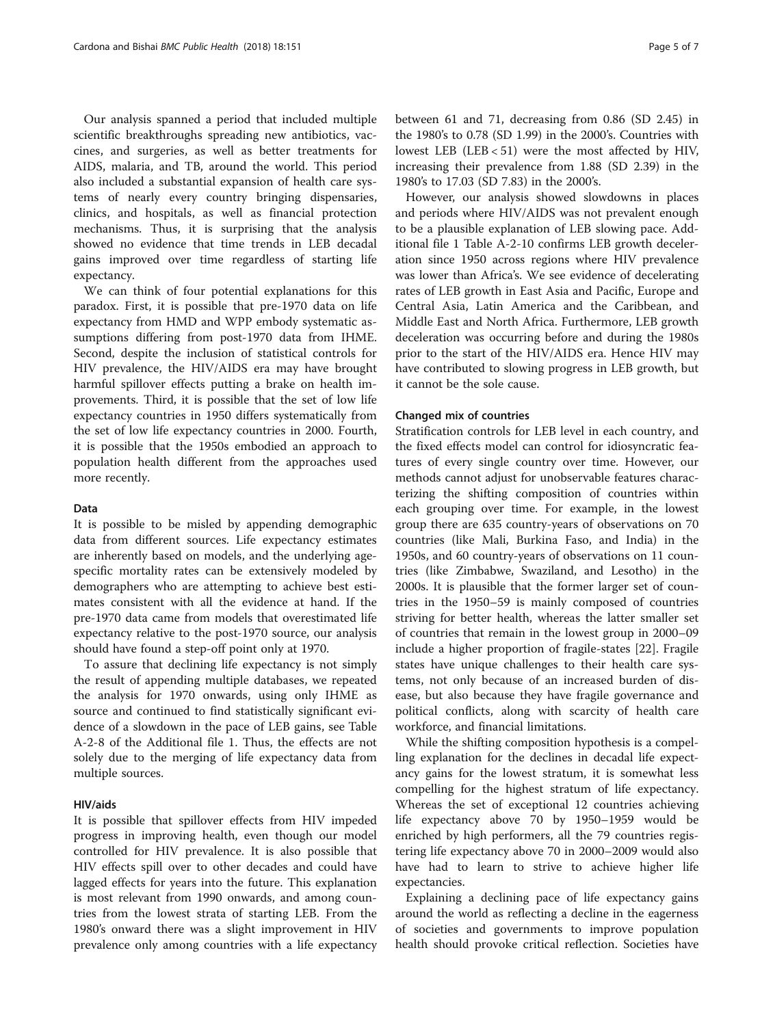Our analysis spanned a period that included multiple scientific breakthroughs spreading new antibiotics, vaccines, and surgeries, as well as better treatments for AIDS, malaria, and TB, around the world. This period also included a substantial expansion of health care systems of nearly every country bringing dispensaries, clinics, and hospitals, as well as financial protection mechanisms. Thus, it is surprising that the analysis showed no evidence that time trends in LEB decadal gains improved over time regardless of starting life expectancy.

We can think of four potential explanations for this paradox. First, it is possible that pre-1970 data on life expectancy from HMD and WPP embody systematic assumptions differing from post-1970 data from IHME. Second, despite the inclusion of statistical controls for HIV prevalence, the HIV/AIDS era may have brought harmful spillover effects putting a brake on health improvements. Third, it is possible that the set of low life expectancy countries in 1950 differs systematically from the set of low life expectancy countries in 2000. Fourth, it is possible that the 1950s embodied an approach to population health different from the approaches used more recently.

### Data

It is possible to be misled by appending demographic data from different sources. Life expectancy estimates are inherently based on models, and the underlying agespecific mortality rates can be extensively modeled by demographers who are attempting to achieve best estimates consistent with all the evidence at hand. If the pre-1970 data came from models that overestimated life expectancy relative to the post-1970 source, our analysis should have found a step-off point only at 1970.

To assure that declining life expectancy is not simply the result of appending multiple databases, we repeated the analysis for 1970 onwards, using only IHME as source and continued to find statistically significant evidence of a slowdown in the pace of LEB gains, see Table A-2-8 of the Additional file [1.](#page-5-0) Thus, the effects are not solely due to the merging of life expectancy data from multiple sources.

# HIV/aids

It is possible that spillover effects from HIV impeded progress in improving health, even though our model controlled for HIV prevalence. It is also possible that HIV effects spill over to other decades and could have lagged effects for years into the future. This explanation is most relevant from 1990 onwards, and among countries from the lowest strata of starting LEB. From the 1980's onward there was a slight improvement in HIV prevalence only among countries with a life expectancy between 61 and 71, decreasing from 0.86 (SD 2.45) in the 1980's to 0.78 (SD 1.99) in the 2000's. Countries with lowest LEB  $(LEB < 51)$  were the most affected by HIV, increasing their prevalence from 1.88 (SD 2.39) in the 1980's to 17.03 (SD 7.83) in the 2000's.

However, our analysis showed slowdowns in places and periods where HIV/AIDS was not prevalent enough to be a plausible explanation of LEB slowing pace. Additional file [1](#page-5-0) Table A-2-10 confirms LEB growth deceleration since 1950 across regions where HIV prevalence was lower than Africa's. We see evidence of decelerating rates of LEB growth in East Asia and Pacific, Europe and Central Asia, Latin America and the Caribbean, and Middle East and North Africa. Furthermore, LEB growth deceleration was occurring before and during the 1980s prior to the start of the HIV/AIDS era. Hence HIV may have contributed to slowing progress in LEB growth, but it cannot be the sole cause.

#### Changed mix of countries

Stratification controls for LEB level in each country, and the fixed effects model can control for idiosyncratic features of every single country over time. However, our methods cannot adjust for unobservable features characterizing the shifting composition of countries within each grouping over time. For example, in the lowest group there are 635 country-years of observations on 70 countries (like Mali, Burkina Faso, and India) in the 1950s, and 60 country-years of observations on 11 countries (like Zimbabwe, Swaziland, and Lesotho) in the 2000s. It is plausible that the former larger set of countries in the 1950–59 is mainly composed of countries striving for better health, whereas the latter smaller set of countries that remain in the lowest group in 2000–09 include a higher proportion of fragile-states [[22](#page-6-0)]. Fragile states have unique challenges to their health care systems, not only because of an increased burden of disease, but also because they have fragile governance and political conflicts, along with scarcity of health care workforce, and financial limitations.

While the shifting composition hypothesis is a compelling explanation for the declines in decadal life expectancy gains for the lowest stratum, it is somewhat less compelling for the highest stratum of life expectancy. Whereas the set of exceptional 12 countries achieving life expectancy above 70 by 1950–1959 would be enriched by high performers, all the 79 countries registering life expectancy above 70 in 2000–2009 would also have had to learn to strive to achieve higher life expectancies.

Explaining a declining pace of life expectancy gains around the world as reflecting a decline in the eagerness of societies and governments to improve population health should provoke critical reflection. Societies have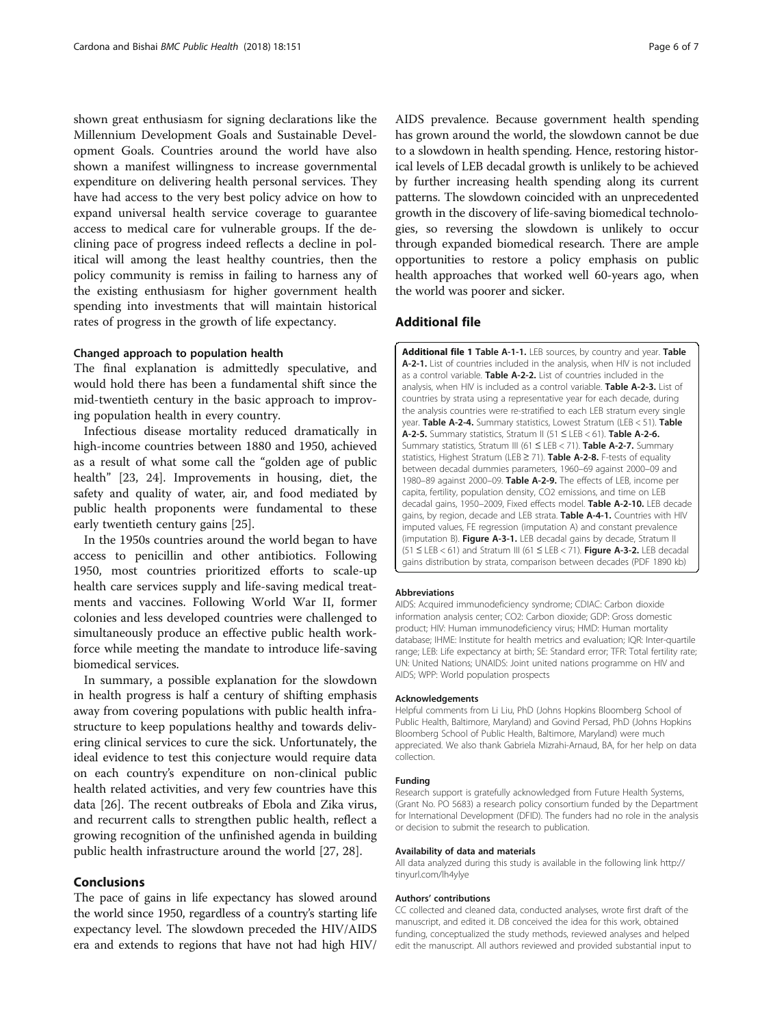<span id="page-5-0"></span>shown great enthusiasm for signing declarations like the Millennium Development Goals and Sustainable Development Goals. Countries around the world have also shown a manifest willingness to increase governmental expenditure on delivering health personal services. They have had access to the very best policy advice on how to expand universal health service coverage to guarantee access to medical care for vulnerable groups. If the declining pace of progress indeed reflects a decline in political will among the least healthy countries, then the policy community is remiss in failing to harness any of the existing enthusiasm for higher government health spending into investments that will maintain historical rates of progress in the growth of life expectancy.

# Changed approach to population health

The final explanation is admittedly speculative, and would hold there has been a fundamental shift since the mid-twentieth century in the basic approach to improving population health in every country.

Infectious disease mortality reduced dramatically in high-income countries between 1880 and 1950, achieved as a result of what some call the "golden age of public health" [[23](#page-6-0), [24\]](#page-6-0). Improvements in housing, diet, the safety and quality of water, air, and food mediated by public health proponents were fundamental to these early twentieth century gains [\[25\]](#page-6-0).

In the 1950s countries around the world began to have access to penicillin and other antibiotics. Following 1950, most countries prioritized efforts to scale-up health care services supply and life-saving medical treatments and vaccines. Following World War II, former colonies and less developed countries were challenged to simultaneously produce an effective public health workforce while meeting the mandate to introduce life-saving biomedical services.

In summary, a possible explanation for the slowdown in health progress is half a century of shifting emphasis away from covering populations with public health infrastructure to keep populations healthy and towards delivering clinical services to cure the sick. Unfortunately, the ideal evidence to test this conjecture would require data on each country's expenditure on non-clinical public health related activities, and very few countries have this data [[26](#page-6-0)]. The recent outbreaks of Ebola and Zika virus, and recurrent calls to strengthen public health, reflect a growing recognition of the unfinished agenda in building public health infrastructure around the world [\[27](#page-6-0), [28\]](#page-6-0).

## Conclusions

The pace of gains in life expectancy has slowed around the world since 1950, regardless of a country's starting life expectancy level. The slowdown preceded the HIV/AIDS era and extends to regions that have not had high HIV/

AIDS prevalence. Because government health spending has grown around the world, the slowdown cannot be due to a slowdown in health spending. Hence, restoring historical levels of LEB decadal growth is unlikely to be achieved by further increasing health spending along its current patterns. The slowdown coincided with an unprecedented growth in the discovery of life-saving biomedical technologies, so reversing the slowdown is unlikely to occur through expanded biomedical research. There are ample opportunities to restore a policy emphasis on public health approaches that worked well 60-years ago, when the world was poorer and sicker.

### Additional file

[Additional file 1](dx.doi.org/10.1186/s12889-018-5058-9) Table A-1-1. LEB sources, by country and year. Table A-2-1. List of countries included in the analysis, when HIV is not included as a control variable. Table A-2-2. List of countries included in the analysis, when HIV is included as a control variable. Table A-2-3. List of countries by strata using a representative year for each decade, during the analysis countries were re-stratified to each LEB stratum every single year. Table A-2-4. Summary statistics, Lowest Stratum (LEB < 51). Table A-2-5. Summary statistics, Stratum II (51 ≤ LEB < 61). Table A-2-6. Summary statistics, Stratum III (61 ≤ LEB < 71). Table A-2-7. Summary statistics, Highest Stratum (LEB  $\geq$  71). Table A-2-8. F-tests of equality between decadal dummies parameters, 1960–69 against 2000–09 and 1980–89 against 2000–09. Table A-2-9. The effects of LEB, income per capita, fertility, population density, CO2 emissions, and time on LEB decadal gains, 1950–2009, Fixed effects model. Table A-2-10. LEB decade gains, by region, decade and LEB strata. Table A-4-1. Countries with HIV imputed values, FE regression (imputation A) and constant prevalence (imputation B). Figure A-3-1. LEB decadal gains by decade, Stratum II (51 ≤ LEB < 61) and Stratum III (61 ≤ LEB < 71). Figure A-3-2. LEB decadal gains distribution by strata, comparison between decades (PDF 1890 kb)

#### Abbreviations

AIDS: Acquired immunodeficiency syndrome; CDIAC: Carbon dioxide information analysis center; CO2: Carbon dioxide; GDP: Gross domestic product; HIV: Human immunodeficiency virus; HMD: Human mortality database; IHME: Institute for health metrics and evaluation; IQR: Inter-quartile range; LEB: Life expectancy at birth; SE: Standard error; TFR: Total fertility rate; UN: United Nations; UNAIDS: Joint united nations programme on HIV and AIDS; WPP: World population prospects

#### Acknowledgements

Helpful comments from Li Liu, PhD (Johns Hopkins Bloomberg School of Public Health, Baltimore, Maryland) and Govind Persad, PhD (Johns Hopkins Bloomberg School of Public Health, Baltimore, Maryland) were much appreciated. We also thank Gabriela Mizrahi-Arnaud, BA, for her help on data collection.

#### Funding

Research support is gratefully acknowledged from Future Health Systems, (Grant No. PO 5683) a research policy consortium funded by the Department for International Development (DFID). The funders had no role in the analysis or decision to submit the research to publication.

#### Availability of data and materials

All data analyzed during this study is available in the following link [http://](http://tinyurl.com/lh4ylye) [tinyurl.com/lh4ylye](http://tinyurl.com/lh4ylye)

#### Authors' contributions

CC collected and cleaned data, conducted analyses, wrote first draft of the manuscript, and edited it. DB conceived the idea for this work, obtained funding, conceptualized the study methods, reviewed analyses and helped edit the manuscript. All authors reviewed and provided substantial input to